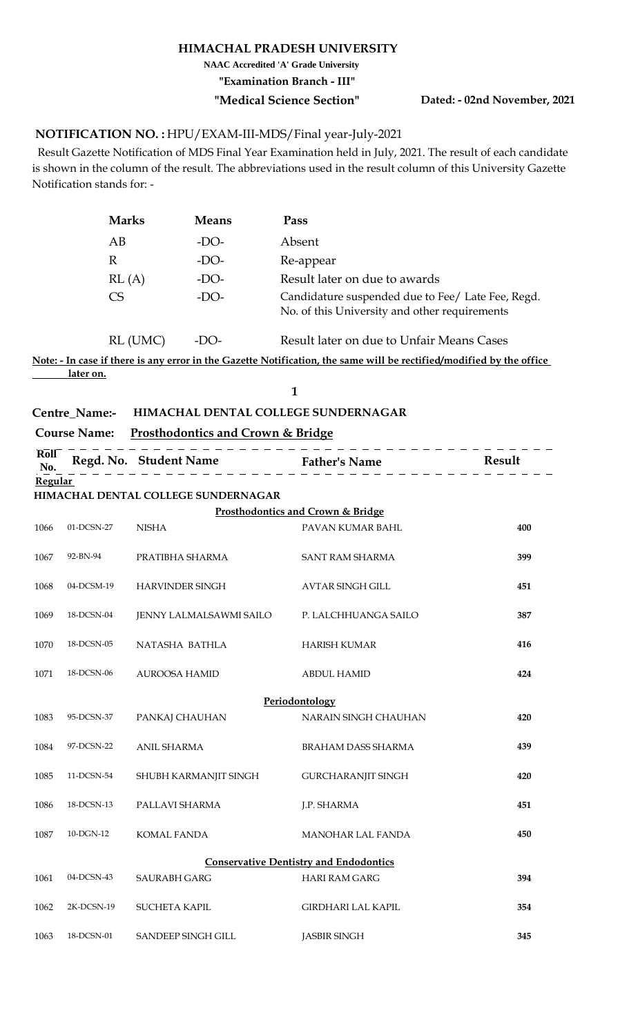#### **HIMACHAL PRADESH UNIVERSITY**

**NAAC Accredited 'A' Grade University**

**"Examination Branch - III"**

**"Medical Science Section" Dated: - 02nd November, 2021**

#### <code>NOTIFICATION</code> NO. : HPU/EXAM-III-MDS/Final year-July-2021

 Result Gazette Notification of MDS Final Year Examination held in July, 2021. The result of each candidate is shown in the column of the result. The abbreviations used in the result column of this University Gazette Notification stands for: -

| <b>Marks</b>    | <b>Means</b> | Pass                                                                                               |
|-----------------|--------------|----------------------------------------------------------------------------------------------------|
| AB              | $-DO-$       | Absent                                                                                             |
| $\mathbb{R}$    | $-DO-$       | Re-appear                                                                                          |
| RL(A)           | $-DO-$       | Result later on due to awards                                                                      |
| CS <sup>-</sup> | $-DO-$       | Candidature suspended due to Fee/ Late Fee, Regd.<br>No. of this University and other requirements |

RL (UMC) -DO-Result later on due to Unfair Means Cases

**Note: - In case if there is any error in the Gazette Notification, the same will be rectified/modified by the office later on.**

**1**

### **Centre\_Name:- HIMACHAL DENTAL COLLEGE SUNDERNAGAR**

|                                               |            | Course Name: Prosthodontics and Crown & Bridge |                                   |        |  |
|-----------------------------------------------|------------|------------------------------------------------|-----------------------------------|--------|--|
| <b>Roll</b><br>No.                            |            | Regd. No. Student Name Father's Name           |                                   | Result |  |
| Regular                                       |            |                                                |                                   |        |  |
|                                               |            | HIMACHAL DENTAL COLLEGE SUNDERNAGAR            |                                   |        |  |
|                                               |            |                                                | Prosthodontics and Crown & Bridge |        |  |
| 1066                                          | 01-DCSN-27 | <b>NISHA</b>                                   | PAVAN KUMAR BAHL                  | 400    |  |
| 1067                                          | 92-BN-94   | PRATIBHA SHARMA                                | <b>SANT RAM SHARMA</b>            | 399    |  |
| 1068                                          | 04-DCSM-19 | <b>HARVINDER SINGH</b>                         | AVTAR SINGH GILL                  | 451    |  |
| 1069                                          | 18-DCSN-04 | JENNY LALMALSAWMI SAILO                        | P. LALCHHUANGA SAILO              | 387    |  |
| 1070                                          | 18-DCSN-05 | NATASHA BATHLA                                 | <b>HARISH KUMAR</b>               | 416    |  |
| 1071                                          | 18-DCSN-06 | <b>AUROOSA HAMID</b>                           | <b>ABDUL HAMID</b>                | 424    |  |
|                                               |            |                                                | Periodontology                    |        |  |
| 1083                                          | 95-DCSN-37 | PANKAJ CHAUHAN                                 | NARAIN SINGH CHAUHAN              | 420    |  |
| 1084                                          | 97-DCSN-22 | <b>ANIL SHARMA</b>                             | BRAHAM DASS SHARMA                | 439    |  |
| 1085                                          | 11-DCSN-54 | SHUBH KARMANJIT SINGH                          | GURCHARANJIT SINGH                | 420    |  |
| 1086                                          | 18-DCSN-13 | PALLAVI SHARMA                                 | J.P. SHARMA                       | 451    |  |
| 1087                                          | 10-DGN-12  | <b>KOMAL FANDA</b>                             | <b>MANOHAR LAL FANDA</b>          | 450    |  |
| <b>Conservative Dentistry and Endodontics</b> |            |                                                |                                   |        |  |
| 1061                                          | 04-DCSN-43 | <b>SAURABH GARG</b>                            | <b>HARI RAM GARG</b>              | 394    |  |
| 1062                                          | 2K-DCSN-19 | <b>SUCHETA KAPIL</b>                           | <b>GIRDHARI LAL KAPIL</b>         | 354    |  |
| 1063                                          | 18-DCSN-01 | <b>SANDEEP SINGH GILL</b>                      | <b>JASBIR SINGH</b>               | 345    |  |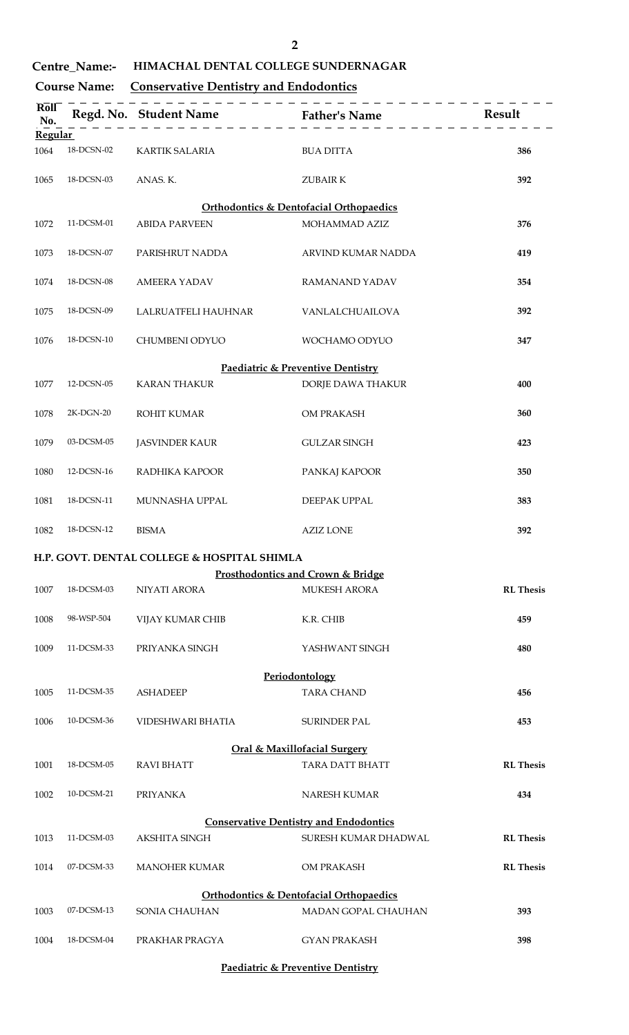| ł |
|---|
|   |
|   |
|   |

**Centre\_Name:- HIMACHAL DENTAL COLLEGE SUNDERNAGAR**

### **Course Name: Conservative Dentistry and Endodontics**

| <b>Roll</b><br>No.<br><b>Regular</b>               |            | Regd. No. Student Name Father's Name        |                                                    | Result           |  |
|----------------------------------------------------|------------|---------------------------------------------|----------------------------------------------------|------------------|--|
| 1064                                               | 18-DCSN-02 | <b>KARTIK SALARIA</b>                       | <b>BUA DITTA</b>                                   | 386              |  |
| 1065                                               | 18-DCSN-03 | ANAS. K.                                    | <b>ZUBAIRK</b>                                     | 392              |  |
|                                                    |            |                                             | <b>Orthodontics &amp; Dentofacial Orthopaedics</b> |                  |  |
| 1072                                               | 11-DCSM-01 | <b>ABIDA PARVEEN</b>                        | MOHAMMAD AZIZ                                      | 376              |  |
| 1073                                               | 18-DCSN-07 | PARISHRUT NADDA                             | ARVIND KUMAR NADDA                                 | 419              |  |
| 1074                                               | 18-DCSN-08 | <b>AMEERA YADAV</b>                         | <b>RAMANAND YADAV</b>                              | 354              |  |
| 1075                                               | 18-DCSN-09 | LALRUATFELI HAUHNAR                         | VANLALCHUAILOVA                                    | 392              |  |
| 1076                                               | 18-DCSN-10 | CHUMBENI ODYUO                              | WOCHAMO ODYUO                                      | 347              |  |
|                                                    |            |                                             | Paediatric & Preventive Dentistry                  |                  |  |
| 1077                                               | 12-DCSN-05 | <b>KARAN THAKUR</b>                         | DORJE DAWA THAKUR                                  | 400              |  |
| 1078                                               | 2K-DGN-20  | <b>ROHIT KUMAR</b>                          | OM PRAKASH                                         | 360              |  |
| 1079                                               | 03-DCSM-05 | <b>JASVINDER KAUR</b>                       | <b>GULZAR SINGH</b>                                | 423              |  |
| 1080                                               | 12-DCSN-16 | RADHIKA KAPOOR                              | PANKAJ KAPOOR                                      | 350              |  |
| 1081                                               | 18-DCSN-11 | MUNNASHA UPPAL                              | DEEPAK UPPAL                                       | 383              |  |
| 1082                                               | 18-DCSN-12 | <b>BISMA</b>                                | <b>AZIZ LONE</b>                                   | 392              |  |
|                                                    |            | H.P. GOVT. DENTAL COLLEGE & HOSPITAL SHIMLA |                                                    |                  |  |
|                                                    |            |                                             | <b>Prosthodontics and Crown &amp; Bridge</b>       |                  |  |
| 1007                                               | 18-DCSM-03 | NIYATI ARORA                                | MUKESH ARORA                                       | <b>RL</b> Thesis |  |
| 1008                                               | 98-WSP-504 | VIJAY KUMAR CHIB                            | K.R. CHIB                                          | 459              |  |
| 1009                                               | 11-DCSM-33 | PRIYANKA SINGH                              | YASHWANT SINGH                                     | 480              |  |
|                                                    |            |                                             | Periodontology                                     |                  |  |
| 1005                                               | 11-DCSM-35 | <b>ASHADEEP</b>                             | <b>TARA CHAND</b>                                  | 456              |  |
| 1006                                               | 10-DCSM-36 | VIDESHWARI BHATIA                           | <b>SURINDER PAL</b>                                | 453              |  |
| <b>Oral &amp; Maxillofacial Surgery</b>            |            |                                             |                                                    |                  |  |
| 1001                                               | 18-DCSM-05 | <b>RAVI BHATT</b>                           | TARA DATT BHATT                                    | <b>RL</b> Thesis |  |
| 1002                                               | 10-DCSM-21 | <b>PRIYANKA</b>                             | NARESH KUMAR                                       | 434              |  |
| <b>Conservative Dentistry and Endodontics</b>      |            |                                             |                                                    |                  |  |
| 1013                                               | 11-DCSM-03 | <b>AKSHITA SINGH</b>                        | SURESH KUMAR DHADWAL                               | <b>RL</b> Thesis |  |
| 1014                                               | 07-DCSM-33 | <b>MANOHER KUMAR</b>                        | OM PRAKASH                                         | <b>RL</b> Thesis |  |
| <b>Orthodontics &amp; Dentofacial Orthopaedics</b> |            |                                             |                                                    |                  |  |
| 1003                                               | 07-DCSM-13 | SONIA CHAUHAN                               | MADAN GOPAL CHAUHAN                                | 393              |  |
| 1004                                               | 18-DCSM-04 | PRAKHAR PRAGYA                              | <b>GYAN PRAKASH</b>                                | 398              |  |

**Paediatric & Preventive Dentistry**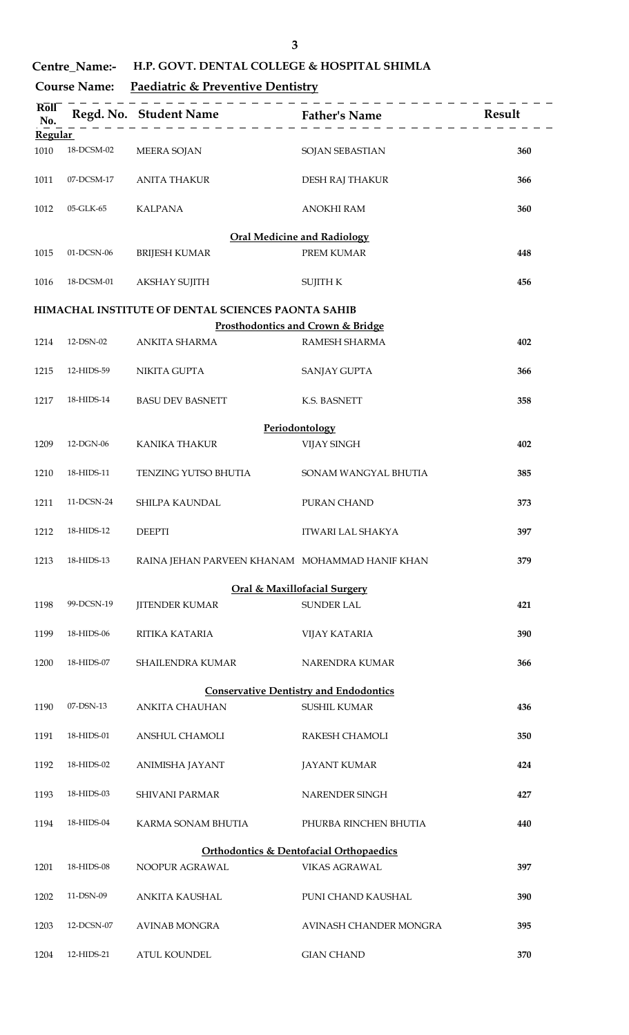**Centre\_Name:- H.P. GOVT. DENTAL COLLEGE & HOSPITAL SHIMLA** 

### **Course Name: Paediatric & Preventive Dentistry**

| Roll<br>No.                                        |            | Regd. No. Student Name Father's Name               |                                               | Result |  |
|----------------------------------------------------|------------|----------------------------------------------------|-----------------------------------------------|--------|--|
| <b>Regular</b>                                     |            |                                                    |                                               |        |  |
| 1010                                               | 18-DCSM-02 | <b>MEERA SOJAN</b>                                 | SOJAN SEBASTIAN                               | 360    |  |
| 1011                                               | 07-DCSM-17 | <b>ANITA THAKUR</b>                                | DESH RAJ THAKUR                               | 366    |  |
| 1012                                               | 05-GLK-65  | <b>KALPANA</b>                                     | <b>ANOKHI RAM</b>                             | 360    |  |
|                                                    |            |                                                    | <b>Oral Medicine and Radiology</b>            |        |  |
| 1015                                               | 01-DCSN-06 | <b>BRIJESH KUMAR</b>                               | PREM KUMAR                                    | 448    |  |
| 1016                                               | 18-DCSM-01 | <b>AKSHAY SUJITH</b>                               | <b>SUJITH K</b>                               | 456    |  |
|                                                    |            | HIMACHAL INSTITUTE OF DENTAL SCIENCES PAONTA SAHIB |                                               |        |  |
|                                                    |            |                                                    | Prosthodontics and Crown & Bridge             |        |  |
| 1214                                               | 12-DSN-02  | <b>ANKITA SHARMA</b>                               | RAMESH SHARMA                                 | 402    |  |
| 1215                                               | 12-HIDS-59 | NIKITA GUPTA                                       | SANJAY GUPTA                                  | 366    |  |
| 1217                                               | 18-HIDS-14 | <b>BASU DEV BASNETT</b>                            | K.S. BASNETT                                  | 358    |  |
|                                                    |            |                                                    | Periodontology                                |        |  |
| 1209                                               | 12-DGN-06  | <b>KANIKA THAKUR</b>                               | <b>VIJAY SINGH</b>                            | 402    |  |
| 1210                                               | 18-HIDS-11 | TENZING YUTSO BHUTIA                               | SONAM WANGYAL BHUTIA                          | 385    |  |
| 1211                                               | 11-DCSN-24 | SHILPA KAUNDAL                                     | PURAN CHAND                                   | 373    |  |
| 1212                                               | 18-HIDS-12 | <b>DEEPTI</b>                                      | ITWARI LAL SHAKYA                             | 397    |  |
| 1213                                               | 18-HIDS-13 | RAINA JEHAN PARVEEN KHANAM MOHAMMAD HANIF KHAN     |                                               | 379    |  |
|                                                    |            |                                                    | <b>Oral &amp; Maxillofacial Surgery</b>       |        |  |
| 1198                                               | 99-DCSN-19 | <b>JITENDER KUMAR</b>                              | <b>SUNDER LAL</b>                             | 421    |  |
| 1199                                               | 18-HIDS-06 | RITIKA KATARIA                                     | <b>VIJAY KATARIA</b>                          | 390    |  |
| 1200                                               | 18-HIDS-07 | SHAILENDRA KUMAR                                   | NARENDRA KUMAR                                | 366    |  |
|                                                    |            |                                                    | <b>Conservative Dentistry and Endodontics</b> |        |  |
| 1190                                               | 07-DSN-13  | <b>ANKITA CHAUHAN</b>                              | <b>SUSHIL KUMAR</b>                           | 436    |  |
|                                                    |            |                                                    |                                               |        |  |
| 1191                                               | 18-HIDS-01 | ANSHUL CHAMOLI                                     | RAKESH CHAMOLI                                | 350    |  |
| 1192                                               | 18-HIDS-02 | ANIMISHA JAYANT                                    | <b>JAYANT KUMAR</b>                           | 424    |  |
| 1193                                               | 18-HIDS-03 | SHIVANI PARMAR                                     | NARENDER SINGH                                | 427    |  |
| 1194                                               | 18-HIDS-04 | KARMA SONAM BHUTIA                                 | PHURBA RINCHEN BHUTIA                         | 440    |  |
| <b>Orthodontics &amp; Dentofacial Orthopaedics</b> |            |                                                    |                                               |        |  |
| 1201                                               | 18-HIDS-08 | NOOPUR AGRAWAL                                     | <b>VIKAS AGRAWAL</b>                          | 397    |  |
| 1202                                               | 11-DSN-09  | ANKITA KAUSHAL                                     | PUNI CHAND KAUSHAL                            | 390    |  |
| 1203                                               | 12-DCSN-07 | <b>AVINAB MONGRA</b>                               | AVINASH CHANDER MONGRA                        | 395    |  |
| 1204                                               | 12-HIDS-21 | <b>ATUL KOUNDEL</b>                                | <b>GIAN CHAND</b>                             | 370    |  |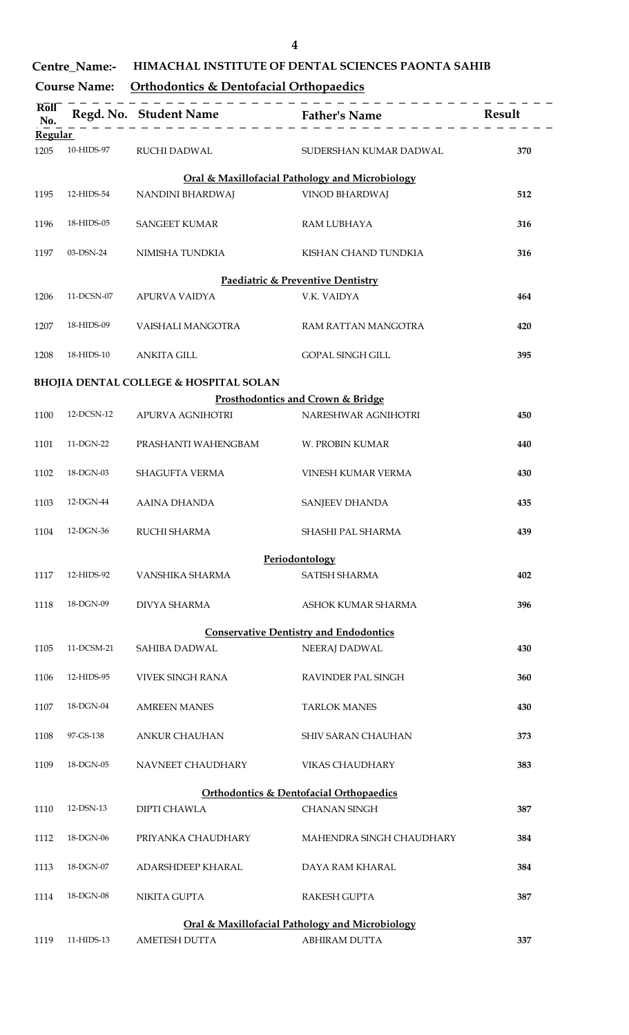## **Centre\_Name:- HIMACHAL INSTITUTE OF DENTAL SCIENCES PAONTA SAHIB**

### **Course Name: Orthodontics & Dentofacial Orthopaedics**

| <b>Roll</b><br>No.                                 |            |                                                   |                                                 |     |  |
|----------------------------------------------------|------------|---------------------------------------------------|-------------------------------------------------|-----|--|
| <b>Regular</b>                                     |            |                                                   |                                                 |     |  |
| 1205                                               | 10-HIDS-97 | RUCHI DADWAL                                      | SUDERSHAN KUMAR DADWAL                          | 370 |  |
|                                                    |            |                                                   | Oral & Maxillofacial Pathology and Microbiology |     |  |
| 1195                                               | 12-HIDS-54 | NANDINI BHARDWAJ                                  | <b>VINOD BHARDWAJ</b>                           | 512 |  |
| 1196                                               | 18-HIDS-05 | <b>SANGEET KUMAR</b>                              | RAM LUBHAYA                                     | 316 |  |
| 1197                                               | 03-DSN-24  | NIMISHA TUNDKIA                                   | KISHAN CHAND TUNDKIA                            | 316 |  |
|                                                    |            |                                                   | Paediatric & Preventive Dentistry               |     |  |
| 1206                                               | 11-DCSN-07 | APURVA VAIDYA                                     | V.K. VAIDYA                                     | 464 |  |
| 1207                                               | 18-HIDS-09 | VAISHALI MANGOTRA                                 | RAM RATTAN MANGOTRA                             | 420 |  |
| 1208                                               | 18-HIDS-10 | <b>ANKITA GILL</b>                                | <b>GOPAL SINGH GILL</b>                         | 395 |  |
|                                                    |            | <b>BHOJIA DENTAL COLLEGE &amp; HOSPITAL SOLAN</b> |                                                 |     |  |
|                                                    |            |                                                   |                                                 |     |  |
|                                                    |            |                                                   | Prosthodontics and Crown & Bridge               |     |  |
| 1100                                               | 12-DCSN-12 | APURVA AGNIHOTRI                                  | NARESHWAR AGNIHOTRI                             | 450 |  |
| 1101                                               | 11-DGN-22  | PRASHANTI WAHENGBAM                               | W. PROBIN KUMAR                                 | 440 |  |
| 1102                                               | 18-DGN-03  | SHAGUFTA VERMA                                    | VINESH KUMAR VERMA                              | 430 |  |
| 1103                                               | 12-DGN-44  | AAINA DHANDA                                      | SANJEEV DHANDA                                  | 435 |  |
| 1104                                               | 12-DGN-36  | RUCHI SHARMA                                      | SHASHI PAL SHARMA                               | 439 |  |
|                                                    |            |                                                   | Periodontology                                  |     |  |
| 1117                                               | 12-HIDS-92 | VANSHIKA SHARMA                                   | SATISH SHARMA                                   | 402 |  |
| 1118                                               | 18-DGN-09  | <b>DIVYA SHARMA</b>                               | ASHOK KUMAR SHARMA                              | 396 |  |
|                                                    |            |                                                   | <b>Conservative Dentistry and Endodontics</b>   |     |  |
| 1105                                               | 11-DCSM-21 | SAHIBA DADWAL                                     | NEERAJ DADWAL                                   | 430 |  |
| 1106                                               | 12-HIDS-95 | <b>VIVEK SINGH RANA</b>                           | <b>RAVINDER PAL SINGH</b>                       | 360 |  |
| 1107                                               | 18-DGN-04  | <b>AMREEN MANES</b>                               | <b>TARLOK MANES</b>                             | 430 |  |
| 1108                                               | 97-GS-138  | <b>ANKUR CHAUHAN</b>                              | SHIV SARAN CHAUHAN                              | 373 |  |
| 1109                                               | 18-DGN-05  | NAVNEET CHAUDHARY                                 | <b>VIKAS CHAUDHARY</b>                          | 383 |  |
| <b>Orthodontics &amp; Dentofacial Orthopaedics</b> |            |                                                   |                                                 |     |  |
| 1110                                               | 12-DSN-13  | <b>DIPTI CHAWLA</b>                               | <b>CHANAN SINGH</b>                             | 387 |  |
| 1112                                               | 18-DGN-06  | PRIYANKA CHAUDHARY                                | MAHENDRA SINGH CHAUDHARY                        | 384 |  |
| 1113                                               | 18-DGN-07  | ADARSHDEEP KHARAL                                 | DAYA RAM KHARAL                                 | 384 |  |
| 1114                                               | 18-DGN-08  | NIKITA GUPTA                                      | RAKESH GUPTA                                    | 387 |  |
|                                                    |            |                                                   | Oral & Maxillofacial Pathology and Microbiology |     |  |
| 1119                                               | 11-HIDS-13 | <b>AMETESH DUTTA</b>                              | <b>ABHIRAM DUTTA</b>                            | 337 |  |